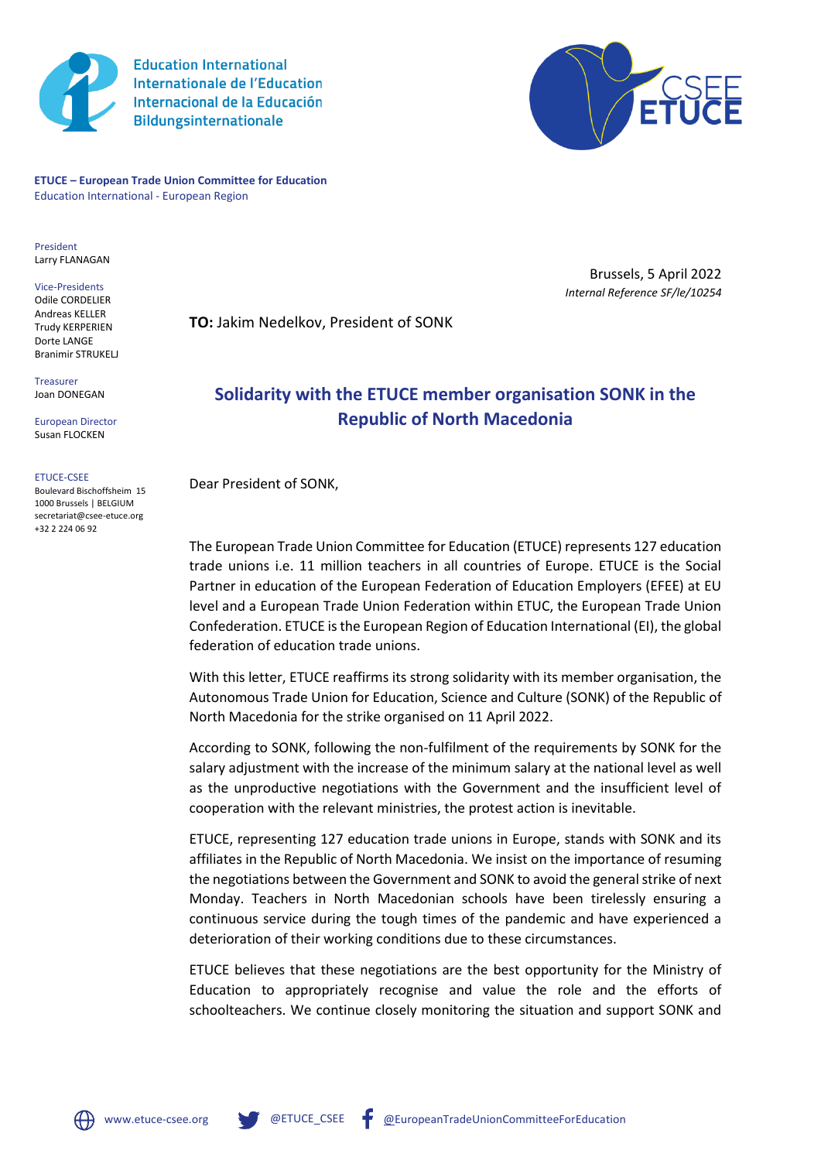

**Education International Internationale de l'Education** Internacional de la Educación **Bildungsinternationale** 



**ETUCE – European Trade Union Committee for Education** Education International - European Region

President Larry FLANAGAN

Vice-Presidents Odile CORDELIER Andreas KELLER Trudy KERPERIEN Dorte LANGE Branimir STRUKELL

Treasurer Joan DONEGAN

European Director Susan FLOCKEN

## ETUCE-CSEE

Boulevard Bischoffsheim 15 1000 Brussels | BELGIUM secretariat@csee-etuce.org +32 2 224 06 92

Brussels, 5 April 2022 *Internal Reference SF/le/10254*

**TO:** Jakim Nedelkov, President of SONK

## **Solidarity with the ETUCE member organisation SONK in the Republic of North Macedonia**

Dear President of SONK,

The European Trade Union Committee for Education (ETUCE) represents 127 education trade unions i.e. 11 million teachers in all countries of Europe. ETUCE is the Social Partner in education of the European Federation of Education Employers (EFEE) at EU level and a European Trade Union Federation within ETUC, the European Trade Union Confederation. ETUCE is the European Region of Education International (EI), the global federation of education trade unions.

With this letter, ETUCE reaffirms its strong solidarity with its member organisation, the Autonomous Trade Union for Education, Science and Culture (SONK) of the Republic of North Macedonia for the strike organised on 11 April 2022.

According to SONK, following the non-fulfilment of the requirements by SONK for the salary adjustment with the increase of the minimum salary at the national level as well as the unproductive negotiations with the Government and the insufficient level of cooperation with the relevant ministries, the protest action is inevitable.

ETUCE, representing 127 education trade unions in Europe, stands with SONK and its affiliates in the Republic of North Macedonia. We insist on the importance of resuming the negotiations between the Government and SONK to avoid the general strike of next Monday. Teachers in North Macedonian schools have been tirelessly ensuring a continuous service during the tough times of the pandemic and have experienced a deterioration of their working conditions due to these circumstances.

ETUCE believes that these negotiations are the best opportunity for the Ministry of Education to appropriately recognise and value the role and the efforts of schoolteachers. We continue closely monitoring the situation and support SONK and